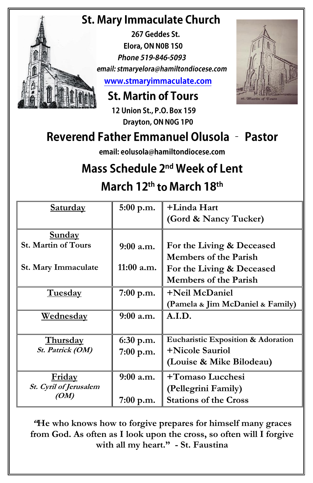## **St. Mary Immaculate Church**

267 Geddes St. Elora, ON N0B 1S0 Phone 519-846-5093 email: stmaryelora@hamiltondiocese.com www.stmaryimmaculate.com

### **St. Martin of Tours**

12 Union St., P.O. Box 159 Drayton, ON N0G 1P0

## **Reverend Father Emmanuel Olusola - Pastor**

email: eolusola@hamiltondiocese.com

# Mass Schedule 2<sup>nd</sup> Week of Lent

March 12<sup>th</sup> to March 18<sup>th</sup>

| <b>Saturday</b>                             | 5:00 p.m.    | +Linda Hart<br>(Gord & Nancy Tucker) |
|---------------------------------------------|--------------|--------------------------------------|
|                                             |              |                                      |
| <b>Sunday</b><br><b>St. Martin of Tours</b> | $9:00$ a.m.  | For the Living & Deceased            |
|                                             |              | <b>Members of the Parish</b>         |
| St. Mary Immaculate                         | $11:00$ a.m. | For the Living & Deceased            |
|                                             |              | <b>Members of the Parish</b>         |
| Tuesday                                     | $7:00$ p.m.  | +Neil McDaniel                       |
|                                             |              | (Pamela & Jim McDaniel & Family)     |
| <u>Wednesday</u>                            | $9:00$ a.m.  | A.I.D.                               |
|                                             |              |                                      |
| <b>Thursday</b>                             | $6:30$ p.m.  | Eucharistic Exposition & Adoration   |
| St. Patrick (OM)                            | 7:00 p.m.    | +Nicole Sauriol                      |
|                                             |              | (Louise & Mike Bilodeau)             |
| <b>Friday</b>                               | $9:00$ a.m.  | +Tomaso Lucchesi                     |
| St. Cyril of Jerusalem                      |              | (Pellegrini Family)                  |
| (OM)                                        | $7:00$ p.m.  | <b>Stations of the Cross</b>         |

"He who knows how to forgive prepares for himself many graces from God. As often as I look upon the cross, so often will I forgive with all my heart." - St. Faustina

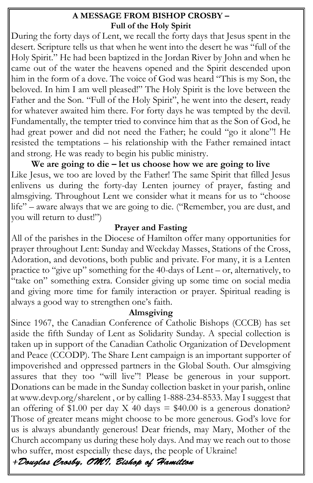#### **A MESSAGE FROM BISHOP CROSBY – Full of the Holy Spirit**

During the forty days of Lent, we recall the forty days that Jesus spent in the desert. Scripture tells us that when he went into the desert he was "full of the Holy Spirit." He had been baptized in the Jordan River by John and when he came out of the water the heavens opened and the Spirit descended upon him in the form of a dove. The voice of God was heard "This is my Son, the beloved. In him I am well pleased!" The Holy Spirit is the love between the Father and the Son. "Full of the Holy Spirit", he went into the desert, ready for whatever awaited him there. For forty days he was tempted by the devil. Fundamentally, the tempter tried to convince him that as the Son of God, he had great power and did not need the Father; he could "go it alone"! He resisted the temptations – his relationship with the Father remained intact and strong. He was ready to begin his public ministry.

**We are going to die – let us choose how we are going to live** Like Jesus, we too are loved by the Father! The same Spirit that filled Jesus enlivens us during the forty-day Lenten journey of prayer, fasting and almsgiving. Throughout Lent we consider what it means for us to "choose life" – aware always that we are going to die. ("Remember, you are dust, and you will return to dust!")

#### **Prayer and Fasting**

All of the parishes in the Diocese of Hamilton offer many opportunities for prayer throughout Lent: Sunday and Weekday Masses, Stations of the Cross, Adoration, and devotions, both public and private. For many, it is a Lenten practice to "give up" something for the 40-days of Lent – or, alternatively, to "take on" something extra. Consider giving up some time on social media and giving more time for family interaction or prayer. Spiritual reading is always a good way to strengthen one's faith.

#### **Almsgiving**

Since 1967, the Canadian Conference of Catholic Bishops (CCCB) has set aside the fifth Sunday of Lent as Solidarity Sunday. A special collection is taken up in support of the Canadian Catholic Organization of Development and Peace (CCODP). The Share Lent campaign is an important supporter of impoverished and oppressed partners in the Global South. Our almsgiving assures that they too "will live"! Please be generous in your support. Donations can be made in the Sunday collection basket in your parish, online at www.devp.org/sharelent , or by calling 1-888-234-8533. May I suggest that an offering of \$1.00 per day X 40 days  $= $40.00$  is a generous donation? Those of greater means might choose to be more generous. God's love for us is always abundantly generous! Dear friends, may Mary, Mother of the Church accompany us during these holy days. And may we reach out to those who suffer, most especially these days, the people of Ukraine!<br>+ Douglas Crosby, OM 1, Bishop of Hamilton